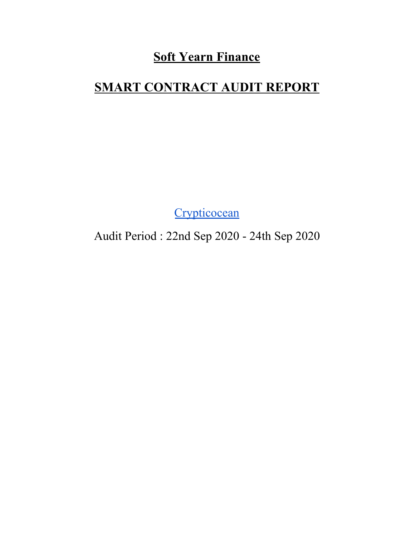### **Soft Yearn Finance**

## **SMART CONTRACT AUDIT REPORT**

**[Crypticocean](https://crypticocean.com/)** 

Audit Period : 22nd Sep 2020 - 24th Sep 2020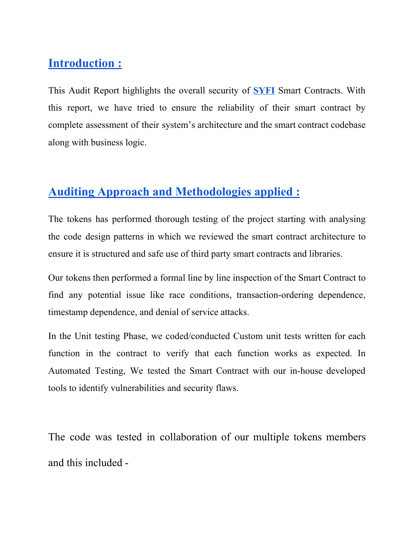### **Introduction :**

This Audit Report highlights the overall security of **[SYFI](https://syfi.finance/)** Smart Contracts. With this report, we have tried to ensure the reliability of their smart contract by complete assessment of their system's architecture and the smart contract codebase along with business logic.

### **Auditing Approach and Methodologies applied :**

The tokens has performed thorough testing of the project starting with analysing the code design patterns in which we reviewed the smart contract architecture to ensure it is structured and safe use of third party smart contracts and libraries.

Our tokens then performed a formal line by line inspection of the Smart Contract to find any potential issue like race conditions, transaction-ordering dependence, timestamp dependence, and denial of service attacks.

In the Unit testing Phase, we coded/conducted Custom unit tests written for each function in the contract to verify that each function works as expected. In Automated Testing, We tested the Smart Contract with our in-house developed tools to identify vulnerabilities and security flaws.

The code was tested in collaboration of our multiple tokens members and this included -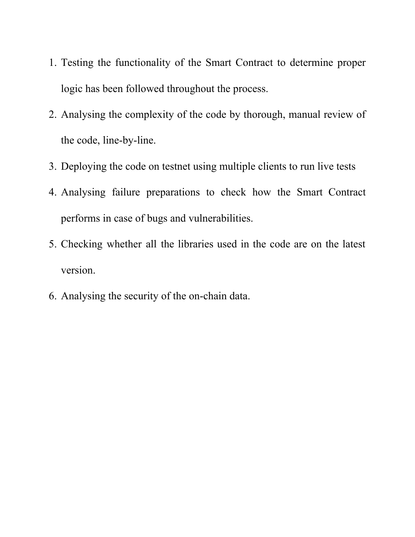- 1. Testing the functionality of the Smart Contract to determine proper logic has been followed throughout the process.
- 2. Analysing the complexity of the code by thorough, manual review of the code, line-by-line.
- 3. Deploying the code on testnet using multiple clients to run live tests
- 4. Analysing failure preparations to check how the Smart Contract performs in case of bugs and vulnerabilities.
- 5. Checking whether all the libraries used in the code are on the latest version.
- 6. Analysing the security of the on-chain data.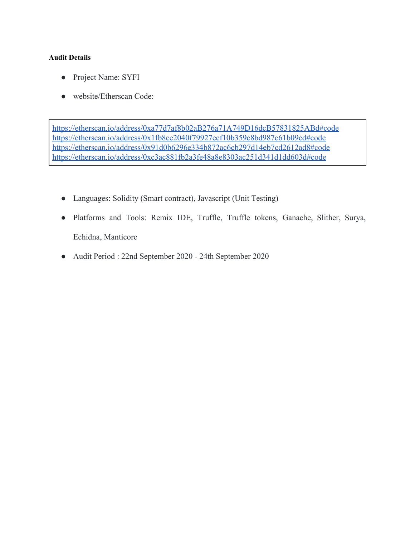#### **Audit Details**

- Project Name: SYFI
- website/Etherscan Code:

<https://etherscan.io/address/0xa77d7af8b02aB276a71A749D16dcB57831825ABd#code> <https://etherscan.io/address/0x1fb8ce2040f79927ecf10b359c8bd987c61b09cd#code> <https://etherscan.io/address/0x91d0b6296e334b872ac6cb297d14eb7cd2612ad8#code> <https://etherscan.io/address/0xc3ac881fb2a3fe48a8e8303ac251d341d1dd603d#code>

- Languages: Solidity (Smart contract), Javascript (Unit Testing)
- Platforms and Tools: Remix IDE, Truffle, Truffle tokens, Ganache, Slither, Surya, Echidna, Manticore
- Audit Period : 22nd September 2020 24th September 2020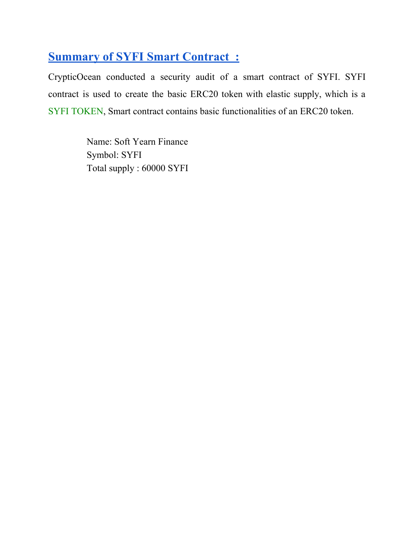### **Summary of SYFI Smart Contract :**

CrypticOcean conducted a security audit of a smart contract of SYFI. SYFI contract is used to create the basic ERC20 token with elastic supply, which is a SYFI TOKEN, Smart contract contains basic functionalities of an ERC20 token.

> Name: Soft Yearn Finance Symbol: SYFI Total supply : 60000 SYFI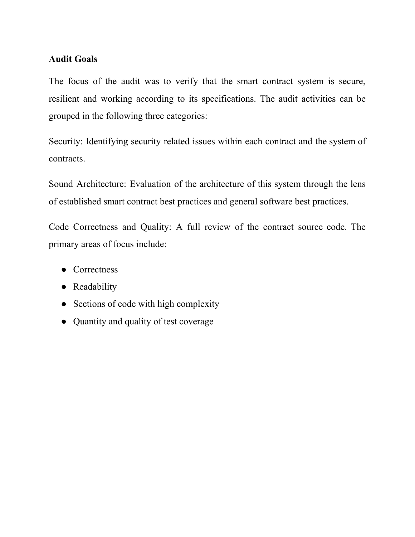#### **Audit Goals**

The focus of the audit was to verify that the smart contract system is secure, resilient and working according to its specifications. The audit activities can be grouped in the following three categories:

Security: Identifying security related issues within each contract and the system of contracts.

Sound Architecture: Evaluation of the architecture of this system through the lens of established smart contract best practices and general software best practices.

Code Correctness and Quality: A full review of the contract source code. The primary areas of focus include:

- Correctness
- Readability
- Sections of code with high complexity
- Quantity and quality of test coverage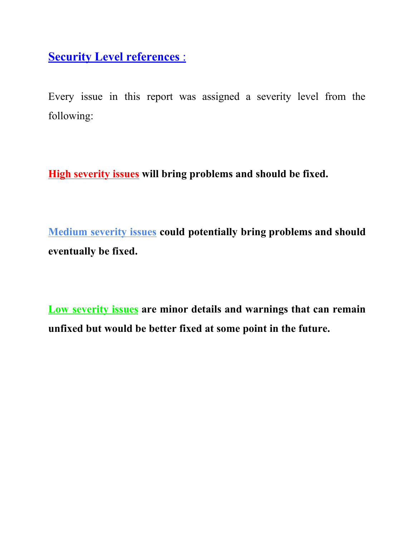**Security Level references** :

Every issue in this report was assigned a severity level from the following:

**High severity issues will bring problems and should be fixed.**

**Medium severity issues could potentially bring problems and should eventually be fixed.**

**Low severity issues are minor details and warnings that can remain unfixed but would be better fixed at some point in the future.**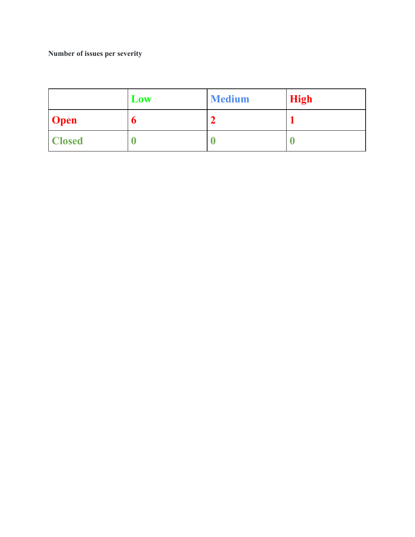#### **Number of issues per severity**

|               | Low | <b>Medium</b> | <b>High</b> |
|---------------|-----|---------------|-------------|
| <b>Open</b>   | O   | c             |             |
| <b>Closed</b> |     |               |             |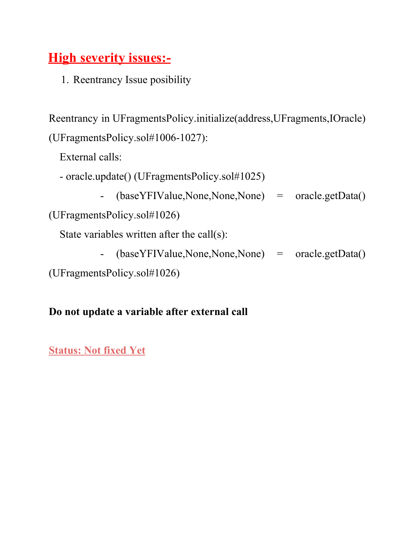# **High severity issues:-**

1. Reentrancy Issue posibility

Reentrancy in UFragmentsPolicy.initialize(address,UFragments,IOracle) (UFragmentsPolicy.sol#1006-1027):

External calls:

- oracle.update() (UFragmentsPolicy.sol#1025)
	- (baseYFIValue,None,None,None) = oracle.getData()

```
(UFragmentsPolicy.sol#1026)
```
State variables written after the call(s):

- (baseYFIValue,None,None,None) = oracle.getData()

(UFragmentsPolicy.sol#1026)

#### **Do not update a variable after external call**

#### **Status: Not fixed Yet**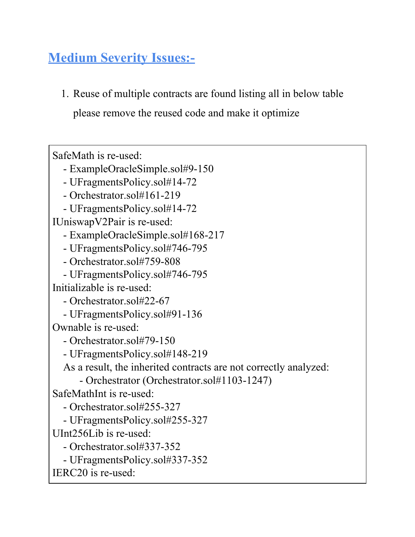# **Medium Severity Issues:-**

1. Reuse of multiple contracts are found listing all in below table

please remove the reused code and make it optimize

SafeMath is re-used:

- ExampleOracleSimple.sol#9-150

- UFragmentsPolicy.sol#14-72
- Orchestrator.sol#161-219
- UFragmentsPolicy.sol#14-72

IUniswapV2Pair is re-used:

- ExampleOracleSimple.sol#168-217

- UFragmentsPolicy.sol#746-795

- Orchestrator.sol#759-808

- UFragmentsPolicy.sol#746-795

Initializable is re-used:

- Orchestrator.sol#22-67

- UFragmentsPolicy.sol#91-136

Ownable is re-used:

- Orchestrator.sol#79-150

- UFragmentsPolicy.sol#148-219

As a result, the inherited contracts are not correctly analyzed:

- Orchestrator (Orchestrator.sol#1103-1247)

SafeMathInt is re-used:

- Orchestrator.sol#255-327

- UFragmentsPolicy.sol#255-327

UInt256Lib is re-used:

- Orchestrator.sol#337-352

- UFragmentsPolicy.sol#337-352

```
IERC20 is re-used:
```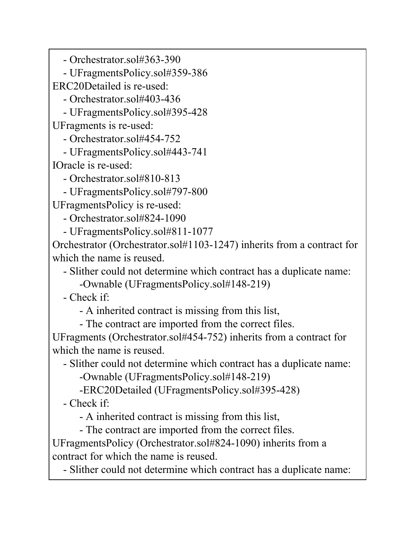- Orchestrator.sol#363-390

- UFragmentsPolicy.sol#359-386

ERC20Detailed is re-used:

- Orchestrator.sol#403-436

- UFragmentsPolicy.sol#395-428 UFragments is re-used:

- Orchestrator.sol#454-752

- UFragmentsPolicy.sol#443-741 IOracle is re-used:

- Orchestrator.sol#810-813

- UFragmentsPolicy.sol#797-800

UFragmentsPolicy is re-used:

- Orchestrator.sol#824-1090

- UFragmentsPolicy.sol#811-1077

Orchestrator (Orchestrator.sol#1103-1247) inherits from a contract for which the name is reused.

- Slither could not determine which contract has a duplicate name:

-Ownable (UFragmentsPolicy.sol#148-219)

- Check if:

- A inherited contract is missing from this list,

- The contract are imported from the correct files.

UFragments (Orchestrator.sol#454-752) inherits from a contract for which the name is reused.

- Slither could not determine which contract has a duplicate name:

-Ownable (UFragmentsPolicy.sol#148-219)

-ERC20Detailed (UFragmentsPolicy.sol#395-428)

- Check if:

- A inherited contract is missing from this list,

- The contract are imported from the correct files.

UFragmentsPolicy (Orchestrator.sol#824-1090) inherits from a contract for which the name is reused.

- Slither could not determine which contract has a duplicate name: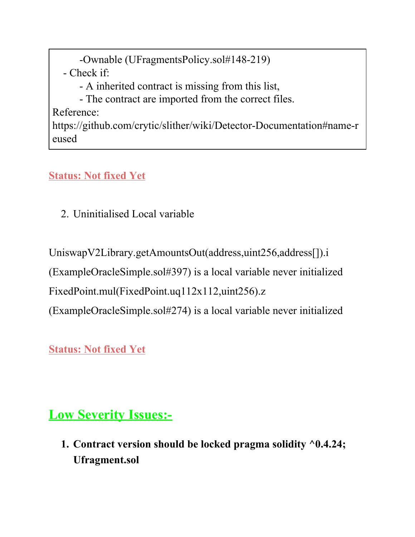-Ownable (UFragmentsPolicy.sol#148-219)

- Check if:

- A inherited contract is missing from this list,

- The contract are imported from the correct files.

Reference:

https://github.com/crytic/slither/wiki/Detector-Documentation#name-r eused

### **Status: Not fixed Yet**

2. Uninitialised Local variable

UniswapV2Library.getAmountsOut(address,uint256,address[]).i

(ExampleOracleSimple.sol#397) is a local variable never initialized

FixedPoint.mul(FixedPoint.uq112x112,uint256).z

(ExampleOracleSimple.sol#274) is a local variable never initialized

**Status: Not fixed Yet**

## **Low Severity Issues:-**

**1. Contract version should be locked pragma solidity ^0.4.24; Ufragment.sol**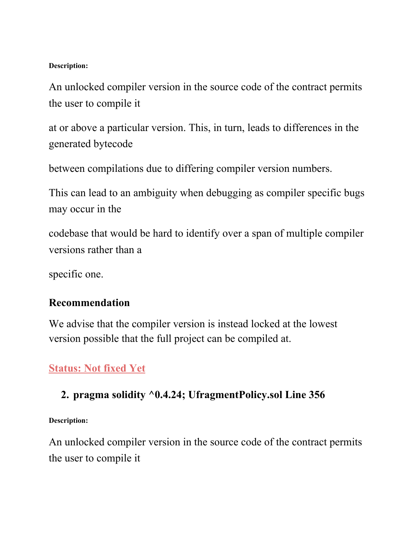#### **Description:**

An unlocked compiler version in the source code of the contract permits the user to compile it

at or above a particular version. This, in turn, leads to differences in the generated bytecode

between compilations due to differing compiler version numbers.

This can lead to an ambiguity when debugging as compiler specific bugs may occur in the

codebase that would be hard to identify over a span of multiple compiler versions rather than a

specific one.

#### **Recommendation**

We advise that the compiler version is instead locked at the lowest version possible that the full project can be compiled at.

### **Status: Not fixed Yet**

#### **2. pragma solidity ^0.4.24; UfragmentPolicy.sol Line 356**

**Description:**

An unlocked compiler version in the source code of the contract permits the user to compile it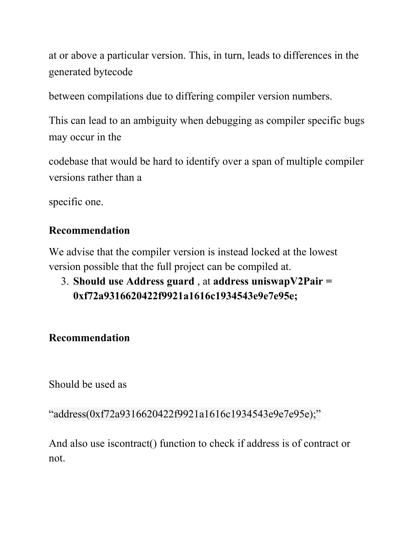at or above a particular version. This, in turn, leads to differences in the generated bytecode

between compilations due to differing compiler version numbers.

This can lead to an ambiguity when debugging as compiler specific bugs may occur in the

codebase that would be hard to identify over a span of multiple compiler versions rather than a

specific one.

#### **Recommendation**

We advise that the compiler version is instead locked at the lowest version possible that the full project can be compiled at.

3. **Should use Address guard** , at **address uniswapV2Pair = 0xf72a9316620422f9921a1616c1934543e9e7e95e;**

#### **Recommendation**

Should be used as

"address(0xf72a9316620422f9921a1616c1934543e9e7e95e);"

And also use iscontract() function to check if address is of contract or not.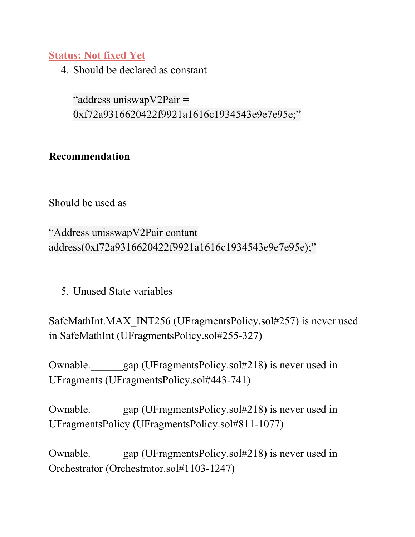#### **Status: Not fixed Yet**

4. Should be declared as constant

"address uniswapV2Pair = 0xf72a9316620422f9921a1616c1934543e9e7e95e;"

#### **Recommendation**

Should be used as

"Address unisswapV2Pair contant address(0xf72a9316620422f9921a1616c1934543e9e7e95e);"

5. Unused State variables

SafeMathInt.MAX\_INT256 (UFragmentsPolicy.sol#257) is never used in SafeMathInt (UFragmentsPolicy.sol#255-327)

Ownable. gap (UFragmentsPolicy.sol#218) is never used in UFragments (UFragmentsPolicy.sol#443-741)

Ownable. gap (UFragmentsPolicy.sol#218) is never used in UFragmentsPolicy (UFragmentsPolicy.sol#811-1077)

Ownable.\_\_\_\_\_\_gap (UFragmentsPolicy.sol#218) is never used in Orchestrator (Orchestrator.sol#1103-1247)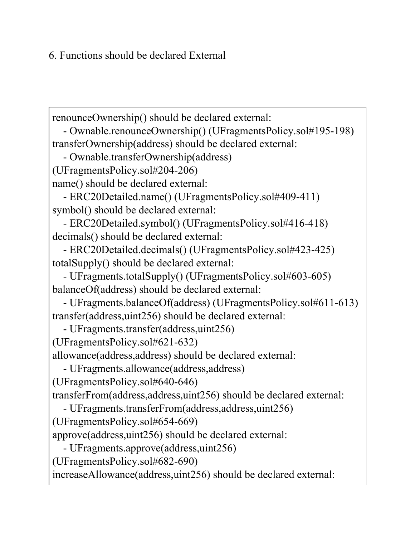6. Functions should be declared External

renounceOwnership() should be declared external: - Ownable.renounceOwnership() (UFragmentsPolicy.sol#195-198) transferOwnership(address) should be declared external: - Ownable.transferOwnership(address) (UFragmentsPolicy.sol#204-206) name() should be declared external: - ERC20Detailed.name() (UFragmentsPolicy.sol#409-411) symbol() should be declared external: - ERC20Detailed.symbol() (UFragmentsPolicy.sol#416-418) decimals() should be declared external: - ERC20Detailed.decimals() (UFragmentsPolicy.sol#423-425) totalSupply() should be declared external: - UFragments.totalSupply() (UFragmentsPolicy.sol#603-605) balanceOf(address) should be declared external: - UFragments.balanceOf(address) (UFragmentsPolicy.sol#611-613) transfer(address,uint256) should be declared external: - UFragments.transfer(address,uint256) (UFragmentsPolicy.sol#621-632) allowance(address,address) should be declared external: - UFragments.allowance(address,address) (UFragmentsPolicy.sol#640-646) transferFrom(address,address,uint256) should be declared external: - UFragments.transferFrom(address,address,uint256) (UFragmentsPolicy.sol#654-669) approve(address,uint256) should be declared external: - UFragments.approve(address,uint256) (UFragmentsPolicy.sol#682-690) increaseAllowance(address,uint256) should be declared external: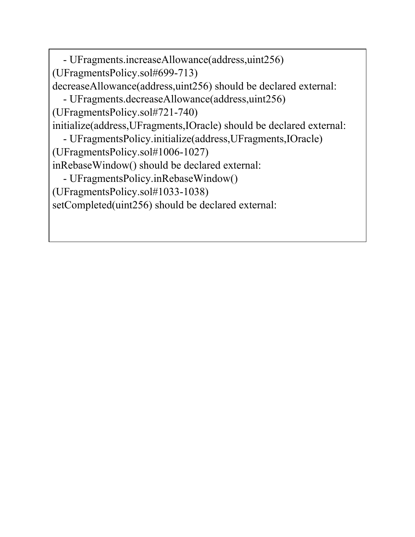- UFragments.increaseAllowance(address,uint256) (UFragmentsPolicy.sol#699-713) decreaseAllowance(address,uint256) should be declared external: - UFragments.decreaseAllowance(address,uint256) (UFragmentsPolicy.sol#721-740) initialize(address,UFragments,IOracle) should be declared external: - UFragmentsPolicy.initialize(address,UFragments,IOracle) (UFragmentsPolicy.sol#1006-1027) inRebaseWindow() should be declared external: - UFragmentsPolicy.inRebaseWindow() (UFragmentsPolicy.sol#1033-1038) setCompleted(uint256) should be declared external: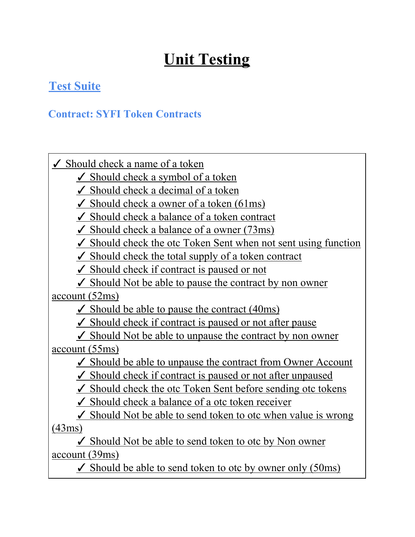# **Unit Testing**

### **Test Suite**

#### **Contract: SYFI Token Contracts**

 $\checkmark$  Should check a name of a token

 $\checkmark$  Should check a symbol of a token

 $\checkmark$  Should check a decimal of a token

 $\checkmark$  Should check a owner of a token (61ms)

✓ Should check a balance of a token contract

 $\checkmark$  Should check a balance of a owner (73ms)

 $\checkmark$  Should check the otc Token Sent when not sent using function

 $\checkmark$  Should check the total supply of a token contract

✓ Should check if contract is paused or not

 $\checkmark$  Should Not be able to pause the contract by non owner account (52ms)

 $\checkmark$  Should be able to pause the contract (40ms)

 $\checkmark$  Should check if contract is paused or not after pause

 $\checkmark$  Should Not be able to unpause the contract by non owner account (55ms)

✓ Should be able to unpause the contract from Owner Account

✓ Should check if contract is paused or not after unpaused

 $\checkmark$  Should check the otc Token Sent before sending otc tokens

 $\checkmark$  Should check a balance of a otc token receiver

 $\checkmark$  Should Not be able to send token to otc when value is wrong (43ms)

✓ Should Not be able to send token to otc by Non owner account (39ms)

 $\checkmark$  Should be able to send token to otc by owner only (50ms)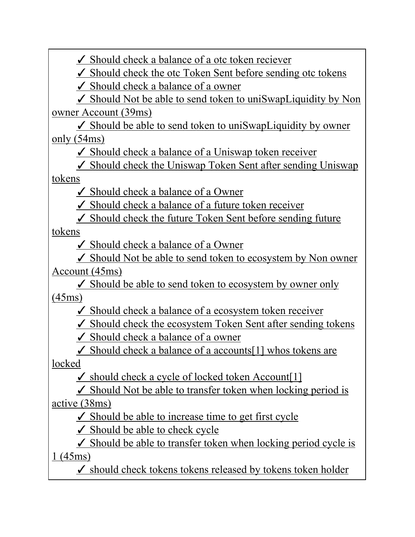$\checkmark$  Should check a balance of a otc token reciever

 $\checkmark$  Should check the otc Token Sent before sending otc tokens

 $\checkmark$  Should check a balance of a owner

✓ Should Not be able to send token to uniSwapLiquidity by Non owner Account (39ms)

 $\checkmark$  Should be able to send token to uniSwapLiquidity by owner only (54ms)

 $\checkmark$  Should check a balance of a Uniswap token receiver

 $\checkmark$  Should check the Uniswap Token Sent after sending Uniswap tokens

✓ Should check a balance of a Owner

 $\checkmark$  Should check a balance of a future token receiver

 $\checkmark$  Should check the future Token Sent before sending future tokens

✓ Should check a balance of a Owner

 $\checkmark$  Should Not be able to send token to ecosystem by Non owner Account (45ms)

✓ Should be able to send token to ecosystem by owner only (45ms)

 $\checkmark$  Should check a balance of a ecosystem token receiver

 $\checkmark$  Should check the ecosystem Token Sent after sending tokens

✓ Should check a balance of a owner

 $\checkmark$  Should check a balance of a accounts[1] whos tokens are locked

 $\checkmark$  should check a cycle of locked token Account [1]

 $\checkmark$  Should Not be able to transfer token when locking period is active (38ms)

 $\checkmark$  Should be able to increase time to get first cycle

 $\checkmark$  Should be able to check cycle

 $\checkmark$  Should be able to transfer token when locking period cycle is 1 (45ms)

 $\checkmark$  should check tokens tokens released by tokens token holder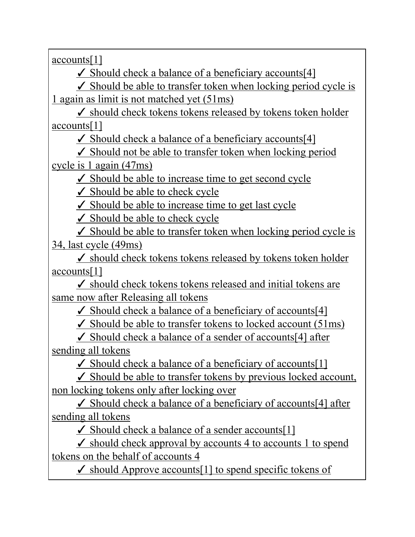accounts[1]

 $\checkmark$  Should check a balance of a beneficiary accounts[4]

 $\checkmark$  Should be able to transfer token when locking period cycle is 1 again as limit is not matched yet (51ms)

 $\checkmark$  should check tokens tokens released by tokens token holder accounts[1]

 $\checkmark$  Should check a balance of a beneficiary accounts[4]

 $\checkmark$  Should not be able to transfer token when locking period cycle is 1 again (47ms)

 $\checkmark$  Should be able to increase time to get second cycle

✓ Should be able to check cycle

 $\checkmark$  Should be able to increase time to get last cycle

 $\checkmark$  Should be able to check cycle

 $\checkmark$  Should be able to transfer token when locking period cycle is 34, last cycle (49ms)

 $\checkmark$  should check tokens tokens released by tokens token holder accounts[1]

 $\checkmark$  should check tokens tokens released and initial tokens are same now after Releasing all tokens

 $\checkmark$  Should check a balance of a beneficiary of accounts[4]

 $\checkmark$  Should be able to transfer tokens to locked account (51ms)

 $\checkmark$  Should check a balance of a sender of accounts[4] after sending all tokens

 $\checkmark$  Should check a balance of a beneficiary of accounts[1]

✓ Should be able to transfer tokens by previous locked account, non locking tokens only after locking over

 $\checkmark$  Should check a balance of a beneficiary of accounts[4] after sending all tokens

 $\checkmark$  Should check a balance of a sender accounts[1]

 $\checkmark$  should check approval by accounts 4 to accounts 1 to spend tokens on the behalf of accounts 4

 $\checkmark$  should Approve accounts[1] to spend specific tokens of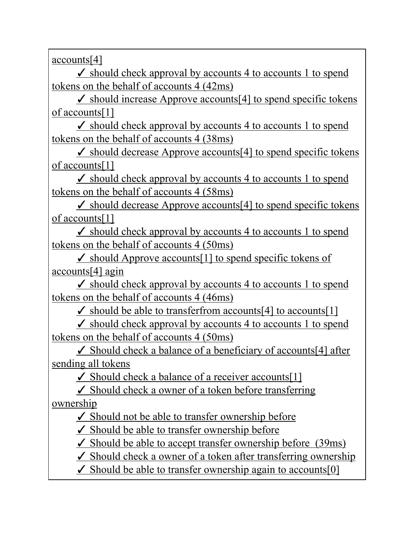accounts[4]

 $\angle$  should check approval by accounts 4 to accounts 1 to spend tokens on the behalf of accounts 4 (42ms)

 $\angle$  should increase Approve accounts[4] to spend specific tokens of accounts[1]

 $\checkmark$  should check approval by accounts 4 to accounts 1 to spend tokens on the behalf of accounts 4 (38ms)

 $\checkmark$  should decrease Approve accounts[4] to spend specific tokens of accounts[1]

 $\checkmark$  should check approval by accounts 4 to accounts 1 to spend tokens on the behalf of accounts 4 (58ms)

 $\checkmark$  should decrease Approve accounts[4] to spend specific tokens of accounts[1]

 $\checkmark$  should check approval by accounts 4 to accounts 1 to spend tokens on the behalf of accounts 4 (50ms)

✓ should Approve accounts[1] to spend specific tokens of accounts[4] agin

 $\checkmark$  should check approval by accounts 4 to accounts 1 to spend tokens on the behalf of accounts 4 (46ms)

 $\checkmark$  should be able to transferfrom accounts[4] to accounts[1]

 $\checkmark$  should check approval by accounts 4 to accounts 1 to spend tokens on the behalf of accounts 4 (50ms)

 $\checkmark$  Should check a balance of a beneficiary of accounts[4] after sending all tokens

 $\checkmark$  Should check a balance of a receiver accounts [1]

 $\checkmark$  Should check a owner of a token before transferring ownership

 $\checkmark$  Should not be able to transfer ownership before

✓ Should be able to transfer ownership before

 $\checkmark$  Should be able to accept transfer ownership before (39ms)

 $\checkmark$  Should check a owner of a token after transferring ownership

 $\checkmark$  Should be able to transfer ownership again to accounts [0]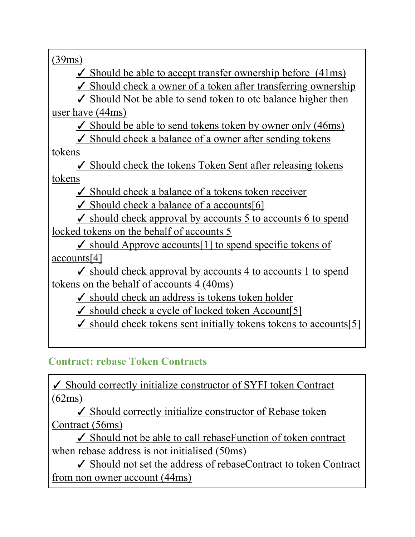(39ms)

 $\checkmark$  Should be able to accept transfer ownership before (41ms)

 $\checkmark$  Should check a owner of a token after transferring ownership

 $\checkmark$  Should Not be able to send token to otc balance higher then user have (44ms)

 $\checkmark$  Should be able to send tokens token by owner only (46ms)

 $\checkmark$  Should check a balance of a owner after sending tokens

tokens

 $\checkmark$  Should check the tokens Token Sent after releasing tokens tokens

 $\checkmark$  Should check a balance of a tokens token receiver

✓ Should check a balance of a accounts[6]

 $\checkmark$  should check approval by accounts 5 to accounts 6 to spend locked tokens on the behalf of accounts 5

✓ should Approve accounts[1] to spend specific tokens of accounts[4]

 $\checkmark$  should check approval by accounts 4 to accounts 1 to spend tokens on the behalf of accounts 4 (40ms)

 $\checkmark$  should check an address is tokens token holder

 $\checkmark$  should check a cycle of locked token Account [5]

 $\checkmark$  should check tokens sent initially tokens tokens to accounts[5]

#### **Contract: rebase Token Contracts**

✓ Should correctly initialize constructor of SYFI token Contract (62ms)

✓ Should correctly initialize constructor of Rebase token Contract (56ms)

✓ Should not be able to call rebaseFunction of token contract when rebase address is not initialised (50ms)

✓ Should not set the address of rebaseContract to token Contract from non owner account (44ms)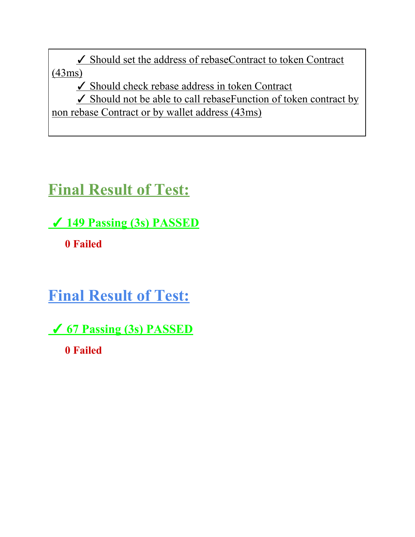✓ Should set the address of rebaseContract to token Contract (43ms)

✓ Should check rebase address in token Contract

✓ Should not be able to call rebaseFunction of token contract by non rebase Contract or by wallet address (43ms)

# **Final Result of Test:**

✓ **149 Passing (3s) PASSED**

❌ **0 Failed**

**Final Result of Test:**

✓ **67 Passing (3s) PASSED** ❌ **0 Failed**